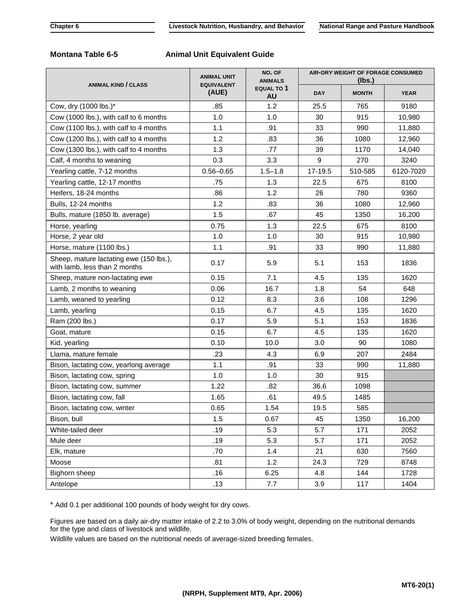## **Montana Table 6-5 Animal Unit Equivalent Guide**

| <b>ANIMAL KIND / CLASS</b>                                               | <b>ANIMAL UNIT</b><br><b>EQUIVALENT</b><br>(AUE) | NO. OF<br><b>ANIMALS</b><br>EQUAL TO 1<br><b>AU</b> | AIR-DRY WEIGHT OF FORAGE CONSUMED<br>(lbs.) |              |             |
|--------------------------------------------------------------------------|--------------------------------------------------|-----------------------------------------------------|---------------------------------------------|--------------|-------------|
|                                                                          |                                                  |                                                     | <b>DAY</b>                                  | <b>MONTH</b> | <b>YEAR</b> |
| Cow, dry (1000 lbs.)*                                                    | .85                                              | 1.2                                                 | 25.5                                        | 765          | 9180        |
| Cow (1000 lbs.), with calf to 6 months                                   | 1.0                                              | 1.0                                                 | 30                                          | 915          | 10,980      |
| Cow (1100 lbs.), with calf to 4 months                                   | 1.1                                              | .91                                                 | 33                                          | 990          | 11,880      |
| Cow (1200 lbs.), with calf to 4 months                                   | 1.2                                              | .83                                                 | 36                                          | 1080         | 12,960      |
| Cow (1300 lbs.), with calf to 4 months                                   | 1.3                                              | .77                                                 | 39                                          | 1170         | 14,040      |
| Calf, 4 months to weaning                                                | 0.3                                              | 3.3                                                 | 9                                           | 270          | 3240        |
| Yearling cattle, 7-12 months                                             | $0.56 - 0.65$                                    | $1.5 - 1.8$                                         | 17-19.5                                     | 510-585      | 6120-7020   |
| Yearling cattle, 12-17 months                                            | .75                                              | 1.3                                                 | 22.5                                        | 675          | 8100        |
| Heifers, 18-24 months                                                    | .86                                              | 1.2                                                 | 26                                          | 780          | 9360        |
| Bulls, 12-24 months                                                      | 1.2                                              | .83                                                 | 36                                          | 1080         | 12,960      |
| Bulls, mature (1850 lb. average)                                         | 1.5                                              | .67                                                 | 45                                          | 1350         | 16,200      |
| Horse, yearling                                                          | 0.75                                             | 1.3                                                 | 22.5                                        | 675          | 8100        |
| Horse, 2 year old                                                        | 1.0                                              | 1.0                                                 | 30                                          | 915          | 10,980      |
| Horse, mature (1100 lbs.)                                                | 1.1                                              | .91                                                 | 33                                          | 990          | 11,880      |
| Sheep, mature lactating ewe (150 lbs.),<br>with lamb, less than 2 months | 0.17                                             | 5.9                                                 | 5.1                                         | 153          | 1836        |
| Sheep, mature non-lactating ewe                                          | 0.15                                             | 7.1                                                 | 4.5                                         | 135          | 1620        |
| Lamb, 2 months to weaning                                                | 0.06                                             | 16.7                                                | 1.8                                         | 54           | 648         |
| Lamb, weaned to yearling                                                 | 0.12                                             | 8.3                                                 | 3.6                                         | 108          | 1296        |
| Lamb, yearling                                                           | 0.15                                             | 6.7                                                 | 4.5                                         | 135          | 1620        |
| Ram (200 lbs.)                                                           | 0.17                                             | 5.9                                                 | 5.1                                         | 153          | 1836        |
| Goat, mature                                                             | 0.15                                             | 6.7                                                 | 4.5                                         | 135          | 1620        |
| Kid, yearling                                                            | 0.10                                             | 10.0                                                | 3.0                                         | 90           | 1080        |
| Llama, mature female                                                     | .23                                              | 4.3                                                 | 6.9                                         | 207          | 2484        |
| Bison, lactating cow, yearlong average                                   | 1.1                                              | .91                                                 | 33                                          | 990          | 11,880      |
| Bison, lactating cow, spring                                             | 1.0                                              | 1.0                                                 | 30                                          | 915          |             |
| Bison, lactating cow, summer                                             | 1.22                                             | .82                                                 | 36.6                                        | 1098         |             |
| Bison, lactating cow, fall                                               | 1.65                                             | .61                                                 | 49.5                                        | 1485         |             |
| Bison, lactating cow, winter                                             | 0.65                                             | 1.54                                                | 19.5                                        | 585          |             |
| Bison, bull                                                              | 1.5                                              | 0.67                                                | 45                                          | 1350         | 16,200      |
| White-tailed deer                                                        | .19                                              | 5.3                                                 | 5.7                                         | 171          | 2052        |
| Mule deer                                                                | .19                                              | 5.3                                                 | 5.7                                         | 171          | 2052        |
| Elk, mature                                                              | .70                                              | 1.4                                                 | 21                                          | 630          | 7560        |
| Moose                                                                    | .81                                              | 1.2                                                 | 24.3                                        | 729          | 8748        |
| Bighorn sheep                                                            | .16                                              | 6.25                                                | 4.8                                         | 144          | 1728        |
| Antelope                                                                 | .13                                              | 7.7                                                 | 3.9                                         | 117          | 1404        |

\* Add 0.1 per additional 100 pounds of body weight for dry cows.

Figures are based on a daily air-dry matter intake of 2.2 to 3.0% of body weight, depending on the nutritional demands for the type and class of livestock and wildlife.

Wildlife values are based on the nutritional needs of average-sized breeding females.